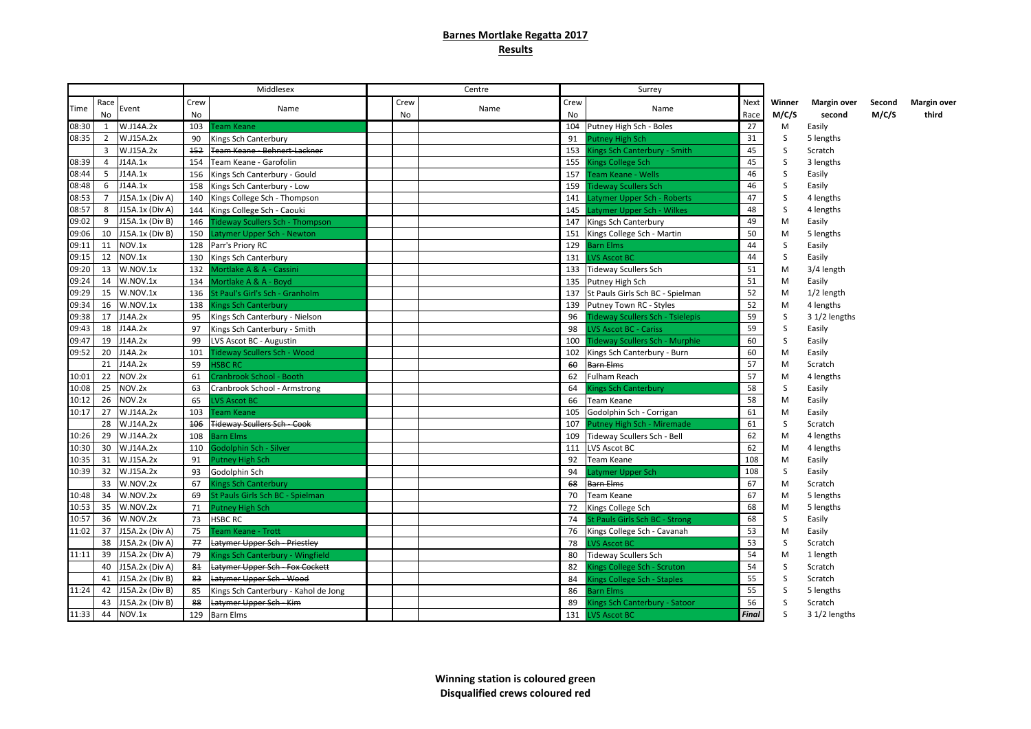## **Barnes Mortlake Regatta 2017 Results**

|       |                   |                 |                | Middlesex                              |                   | Centre |                   | Surrey                                  |                     |                 |                       |                 |                      |
|-------|-------------------|-----------------|----------------|----------------------------------------|-------------------|--------|-------------------|-----------------------------------------|---------------------|-----------------|-----------------------|-----------------|----------------------|
| Time  | Race<br><b>No</b> | Event           | Crew<br>No     | Name                                   | Crew<br><b>No</b> | Name   | Crew<br><b>No</b> | Name                                    | <b>Next</b><br>Race | Winner<br>M/C/S | Margin over<br>second | Second<br>M/C/S | Margin over<br>third |
| 08:30 | 1                 | W.J14A.2x       | 103            | <b>Team Keane</b>                      |                   |        |                   | 104 Putney High Sch - Boles             | 27                  | M               | Easily                |                 |                      |
| 08:35 | 2                 | W.J15A.2x       | 90             | Kings Sch Canterbury                   |                   |        | 91                | Putney High Sch                         | 31                  | S               | 5 lengths             |                 |                      |
|       | $\overline{3}$    | W.J15A.2x       | $+52$          | <b>Team Keane - Behnert-Lackner</b>    |                   |        | 153               | Kings Sch Canterbury - Smith            | 45                  | S               | Scratch               |                 |                      |
| 08:39 | $\overline{4}$    | J14A.1x         |                | 154 Team Keane - Garofolin             |                   |        | 155               | Kings College Sch                       | 45                  | S               | 3 lengths             |                 |                      |
| 08:44 | 5                 | J14A.1x         | 156            | Kings Sch Canterbury - Gould           |                   |        | 157               | Team Keane - Wells                      | 46                  | S               | Easily                |                 |                      |
| 08:48 | 6                 | J14A.1x         | 158            | Kings Sch Canterbury - Low             |                   |        | 159               | <b>Tideway Scullers Sch</b>             | 46                  | S               | Easily                |                 |                      |
| 08:53 | $\overline{7}$    | J15A.1x (Div A) |                | 140 Kings College Sch - Thompson       |                   |        | 141               | Latymer Upper Sch - Roberts             | 47                  | S               | 4 lengths             |                 |                      |
| 08:57 | 8                 | J15A.1x (Div A) |                | 144 Kings College Sch - Caouki         |                   |        | 145               | Latymer Upper Sch - Wilkes              | 48                  | S               | 4 lengths             |                 |                      |
| 09:02 | 9                 | J15A.1x (Div B) | 146            | <b>Tideway Scullers Sch - Thompson</b> |                   |        | 147               | Kings Sch Canterbury                    | 49                  | M               | Easily                |                 |                      |
| 09:06 | 10                | J15A.1x (Div B) |                | 150 Latymer Upper Sch - Newton         |                   |        | 151               | Kings College Sch - Martin              | 50                  | M               | 5 lengths             |                 |                      |
| 09:11 | 11                | NOV.1x          |                | 128 Parr's Priory RC                   |                   |        | 129               | <b>Barn Elms</b>                        | 44                  | S               | Easily                |                 |                      |
| 09:15 | 12                | NOV.1x          | 130            | Kings Sch Canterbury                   |                   |        | 131               | <b>LVS Ascot BC</b>                     | 44                  | S               | Easily                |                 |                      |
| 09:20 | 13                | W.NOV.1x        | 132            | Mortlake A & A - Cassini               |                   |        |                   | 133 Tideway Scullers Sch                | 51                  | M               | 3/4 length            |                 |                      |
| 09:24 | 14                | W.NOV.1x        | 134            | Mortlake A & A - Boyd                  |                   |        | 135               | Putney High Sch                         | 51                  | M               | Easily                |                 |                      |
| 09:29 | 15                | W.NOV.1x        |                | 136 St Paul's Girl's Sch - Granholm    |                   |        | 137               | St Pauls Girls Sch BC - Spielman        | 52                  | M               | $1/2$ length          |                 |                      |
| 09:34 | 16                | W.NOV.1x        | 138            | <b>Kings Sch Canterbury</b>            |                   |        | 139               | Putney Town RC - Styles                 | 52                  | M               | 4 lengths             |                 |                      |
| 09:38 | 17                | J14A.2x         | 95             | Kings Sch Canterbury - Nielson         |                   |        | 96                | <b>Tideway Scullers Sch - Tsielepis</b> | 59                  | S               | 3 1/2 lengths         |                 |                      |
| 09:43 | 18                | J14A.2x         | 97             | Kings Sch Canterbury - Smith           |                   |        | 98                | <b>LVS Ascot BC - Cariss</b>            | 59                  | S               | Easily                |                 |                      |
| 09:47 | 19                | J14A.2x         | 99             | LVS Ascot BC - Augustin                |                   |        | 100               | <b>Tideway Scullers Sch - Murphie</b>   | 60                  | S               | Easily                |                 |                      |
| 09:52 | 20                | J14A.2x         | 101            | <b>Tideway Scullers Sch - Wood</b>     |                   |        | 102               | Kings Sch Canterbury - Burn             | 60                  | M               | Easily                |                 |                      |
|       | 21                | J14A.2x         | 59             | <b>ISBC RC</b>                         |                   |        | 60                | Barn Elms                               | 57                  | M               | Scratch               |                 |                      |
| 10:01 | 22                | NOV.2x          | 61             | Cranbrook School - Booth               |                   |        | 62                | <b>Fulham Reach</b>                     | 57                  | M               | 4 lengths             |                 |                      |
| 10:08 | 25                | NOV.2x          | 63             | Cranbrook School - Armstrong           |                   |        | 64                | Kings Sch Canterbury                    | 58                  | S               | Easily                |                 |                      |
| 10:12 | 26                | NOV.2x          | 65             | <b>LVS Ascot BC</b>                    |                   |        | 66                | Team Keane                              | 58                  | M               | Easily                |                 |                      |
| 10:17 | 27                | W.J14A.2x       | 103            | Team Keane                             |                   |        | 105               | Godolphin Sch - Corrigan                | 61                  | M               | Easily                |                 |                      |
|       | 28                | W.J14A.2x       |                | 106 Tideway Scullers Sch - Cook        |                   |        | 107               | Putney High Sch - Miremade              | 61                  | S               | Scratch               |                 |                      |
| 10:26 | 29                | W.J14A.2x       | 108            | Barn Elms                              |                   |        | 109               | Tideway Scullers Sch - Bell             | 62                  | M               | 4 lengths             |                 |                      |
| 10:30 | 30                | W.J14A.2x       | 110            | Godolphin Sch - Silver                 |                   |        | 111               | LVS Ascot BC                            | 62                  | M               | 4 lengths             |                 |                      |
| 10:35 | 31                | W.J15A.2x       | 91             | <b>Putney High Sch</b>                 |                   |        | 92                | Team Keane                              | 108                 | M               | Easily                |                 |                      |
| 10:39 | 32                | W.J15A.2x       | 93             | Godolphin Sch                          |                   |        | 94                | Latymer Upper Sch                       | 108                 | S               | Easily                |                 |                      |
|       | 33                | W.NOV.2x        | 67             | <b>Kings Sch Canterbury</b>            |                   |        | 68                | Barn Elms                               | 67                  | M               | Scratch               |                 |                      |
| 10:48 | 34                | W.NOV.2x        | 69             | St Pauls Girls Sch BC - Spielman       |                   |        | 70                | <b>Team Keane</b>                       | 67                  | M               | 5 lengths             |                 |                      |
| 10:53 | 35                | W.NOV.2x        | 71             | Putney High Sch                        |                   |        | 72                | Kings College Sch                       | 68                  | M               | 5 lengths             |                 |                      |
| 10:57 | 36                | W.NOV.2x        | 73             | HSBC RC                                |                   |        | 74                | St Pauls Girls Sch BC - Strong          | 68                  | S               | Easily                |                 |                      |
| 11:02 | 37                | J15A.2x (Div A) | 75             | Team Keane - Trott                     |                   |        | 76                | Kings College Sch - Cavanah             | 53                  | M               | Easily                |                 |                      |
|       | 38                | J15A.2x (Div A) | 77             | Latymer Upper Sch - Priestley          |                   |        | 78                | <b>LVS Ascot BC</b>                     | 53                  | S               | Scratch               |                 |                      |
| 11:11 | 39                | J15A.2x (Div A) | 79             | Kings Sch Canterbury - Wingfield       |                   |        | 80                | <b>Tideway Scullers Sch</b>             | 54                  | M               | 1 length              |                 |                      |
|       | 40                | J15A.2x (Div A) | 8 <sub>1</sub> | <b>Latymer Upper Sch - Fox Cockett</b> |                   |        | 82                | <b>Kings College Sch - Scruton</b>      | 54                  | S               | Scratch               |                 |                      |
|       | 41                | J15A.2x (Div B) | 83             | Latymer Upper Sch - Wood               |                   |        | 84                | Kings College Sch - Staples             | 55                  | S               | Scratch               |                 |                      |
| 11:24 | 42                | J15A.2x (Div B) | 85             | Kings Sch Canterbury - Kahol de Jong   |                   |        | 86                | Barn Elms                               | 55                  | S               | 5 lengths             |                 |                      |
|       | 43                | J15A.2x (Div B) | 88             | Latymer Upper Sch - Kim                |                   |        | 89                | Kings Sch Canterbury - Satoor           | 56                  | S               | Scratch               |                 |                      |
| 11:33 | 44                | NOV.1x          |                | 129 Barn Elms                          |                   |        |                   | 131 LVS Ascot BC                        | <b>Final</b>        | S               | 3 1/2 lengths         |                 |                      |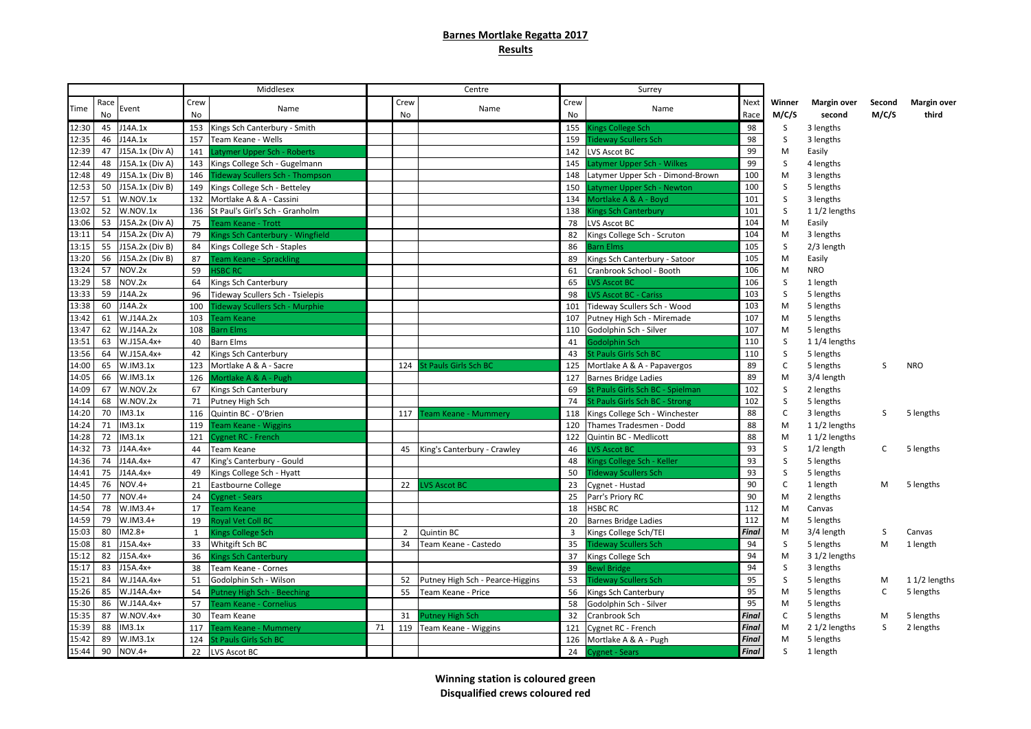## **Barnes Mortlake Regatta 2017 Results**

| Next<br>Crew<br>Crew<br>Crew<br>Race<br>Winner<br><b>Margin over</b><br>Second<br>Name<br>Name<br>Name<br>Time<br>Event<br>M/C/S<br>M/C/S<br><b>No</b><br>No<br><b>No</b><br>No<br>second<br>Race<br>J14A.1x<br>153 Kings Sch Canterbury - Smith<br>155<br><b>Gings College Sch</b><br>98<br>S<br>12:30<br>45<br>3 lengths<br>$\sf S$<br>12:35<br>46<br>J14A.1x<br>157<br>Team Keane - Wells<br>159<br><b>Fideway Scullers Sch</b><br>98<br>3 lengths<br>J15A.1x (Div A)<br>99<br>12:39<br>47<br>141<br>Latymer Upper Sch - Roberts<br>142<br><b>LVS Ascot BC</b><br>M<br>Easily<br>99<br>12:44<br>48<br>J15A.1x (Div A)<br>S<br>143<br>Kings College Sch - Gugelmann<br>145<br>Latymer Upper Sch - Wilkes<br>4 lengths<br>12:48<br>J15A.1x (Div B)<br>100<br>49<br>146<br>M<br><b>Tideway Scullers Sch - Thompson</b><br>148<br>Latymer Upper Sch - Dimond-Brown<br>3 lengths<br>100<br>12:53<br>50<br>J15A.1x (Div B)<br>S<br>149<br>Kings College Sch - Betteley<br>150<br>atymer Upper Sch - Newton<br>5 lengths<br>12:57<br>101<br>S<br>51<br>W.NOV.1x<br>132<br>Mortlake A & A - Cassini<br>134<br>Mortlake A & A - Boyd<br>3 lengths<br>13:02<br>52<br>W.NOV.1x<br>101<br>136 St Paul's Girl's Sch - Granholm<br>138<br>S<br><b>Kings Sch Canterbury</b><br>$11/2$ lengths<br>104<br>53<br>13:06<br>J15A.2x (Div A)<br>75<br>M<br>Team Keane - Trott<br>78<br>LVS Ascot BC<br>Easily<br>104<br>13:11<br>54<br>J15A.2x (Div A)<br>79<br>Kings Sch Canterbury - Wingfield<br>82<br>Kings College Sch - Scruton<br>M<br>3 lengths<br>105<br>13:15<br>55<br>J15A.2x (Div B)<br>S<br>2/3 length<br>Kings College Sch - Staples<br>84<br>86<br><b>Barn Elms</b><br>J15A.2x (Div B)<br>105<br>13:20<br>56<br>87<br><b>Team Keane - Sprackling</b><br>89<br>Kings Sch Canterbury - Satoor<br>M<br>Easily<br>13:24<br>57<br>NOV.2x<br>59<br>106<br><b>ISBC RC</b><br>61<br>Cranbrook School - Booth<br>M<br><b>NRO</b><br>NOV.2x<br>13:29<br>58<br>64<br>Kings Sch Canterbury<br>65<br>VS Ascot BC<br>106<br>S<br>1 length<br>J14A.2x<br>VS Ascot BC - Cariss<br>103<br>$\sf S$<br>13:33<br>59<br>96<br>Tideway Scullers Sch - Tsielepis<br>98<br>5 lengths<br>J14A.2x<br>103<br>13:38<br>60<br>100<br><b>Tideway Scullers Sch - Murphie</b><br>101<br>Tideway Scullers Sch - Wood<br>М<br>5 lengths<br>103<br>107<br>13:42<br>61<br>W.J14A.2x<br>Team Keane<br>107<br>Putney High Sch - Miremade<br>5 lengths<br>М<br>107<br>13:47<br>62<br>W.J14A.2x<br>108<br>Barn Elms<br>Godolphin Sch - Silver<br>5 lengths<br>110<br>м<br>13:51<br>110<br>63<br>W.J15A.4x+<br>S<br>40<br><b>Barn Elms</b><br>41<br>Godolphin Sch<br>11/4 lengths<br>13:56<br>64<br>W.J15A.4x+<br>110<br>S<br>42<br>Kings Sch Canterbury<br>43<br>St Pauls Girls Sch BC<br>5 lengths<br>89<br>14:00<br>65<br>123<br>$\mathsf C$<br>W.IM3.1x<br>125<br>Mortlake A & A - Sacre<br><b>St Pauls Girls Sch BC</b><br>Mortlake A & A - Papavergos<br>5 lengths<br>S<br>124<br>89<br>66<br>W.IM3.1x<br>14:05<br>126<br>Mortlake A & A - Pugh<br>M<br>3/4 length<br>127<br><b>Barnes Bridge Ladies</b><br>102<br>14:09<br>67<br>W.NOV.2x<br>67<br>Kings Sch Canterbury<br>69<br>St Pauls Girls Sch BC - Spielman<br>S<br>2 lengths |              |  |   |     | Surrey |  | Centre |  | Middlesex |  |          |    |  |
|------------------------------------------------------------------------------------------------------------------------------------------------------------------------------------------------------------------------------------------------------------------------------------------------------------------------------------------------------------------------------------------------------------------------------------------------------------------------------------------------------------------------------------------------------------------------------------------------------------------------------------------------------------------------------------------------------------------------------------------------------------------------------------------------------------------------------------------------------------------------------------------------------------------------------------------------------------------------------------------------------------------------------------------------------------------------------------------------------------------------------------------------------------------------------------------------------------------------------------------------------------------------------------------------------------------------------------------------------------------------------------------------------------------------------------------------------------------------------------------------------------------------------------------------------------------------------------------------------------------------------------------------------------------------------------------------------------------------------------------------------------------------------------------------------------------------------------------------------------------------------------------------------------------------------------------------------------------------------------------------------------------------------------------------------------------------------------------------------------------------------------------------------------------------------------------------------------------------------------------------------------------------------------------------------------------------------------------------------------------------------------------------------------------------------------------------------------------------------------------------------------------------------------------------------------------------------------------------------------------------------------------------------------------------------------------------------------------------------------------------------------------------------------------------------------------------------------------------------------------------------------------------------------------------------------------------------------------------------------------------------------------------------------------------------------------------------------------------------------------------------------------------------------------------------------------------|--------------|--|---|-----|--------|--|--------|--|-----------|--|----------|----|--|
|                                                                                                                                                                                                                                                                                                                                                                                                                                                                                                                                                                                                                                                                                                                                                                                                                                                                                                                                                                                                                                                                                                                                                                                                                                                                                                                                                                                                                                                                                                                                                                                                                                                                                                                                                                                                                                                                                                                                                                                                                                                                                                                                                                                                                                                                                                                                                                                                                                                                                                                                                                                                                                                                                                                                                                                                                                                                                                                                                                                                                                                                                                                                                                                                | Margin over  |  |   |     |        |  |        |  |           |  |          |    |  |
|                                                                                                                                                                                                                                                                                                                                                                                                                                                                                                                                                                                                                                                                                                                                                                                                                                                                                                                                                                                                                                                                                                                                                                                                                                                                                                                                                                                                                                                                                                                                                                                                                                                                                                                                                                                                                                                                                                                                                                                                                                                                                                                                                                                                                                                                                                                                                                                                                                                                                                                                                                                                                                                                                                                                                                                                                                                                                                                                                                                                                                                                                                                                                                                                | third        |  |   |     |        |  |        |  |           |  |          |    |  |
|                                                                                                                                                                                                                                                                                                                                                                                                                                                                                                                                                                                                                                                                                                                                                                                                                                                                                                                                                                                                                                                                                                                                                                                                                                                                                                                                                                                                                                                                                                                                                                                                                                                                                                                                                                                                                                                                                                                                                                                                                                                                                                                                                                                                                                                                                                                                                                                                                                                                                                                                                                                                                                                                                                                                                                                                                                                                                                                                                                                                                                                                                                                                                                                                |              |  |   |     |        |  |        |  |           |  |          |    |  |
|                                                                                                                                                                                                                                                                                                                                                                                                                                                                                                                                                                                                                                                                                                                                                                                                                                                                                                                                                                                                                                                                                                                                                                                                                                                                                                                                                                                                                                                                                                                                                                                                                                                                                                                                                                                                                                                                                                                                                                                                                                                                                                                                                                                                                                                                                                                                                                                                                                                                                                                                                                                                                                                                                                                                                                                                                                                                                                                                                                                                                                                                                                                                                                                                |              |  |   |     |        |  |        |  |           |  |          |    |  |
|                                                                                                                                                                                                                                                                                                                                                                                                                                                                                                                                                                                                                                                                                                                                                                                                                                                                                                                                                                                                                                                                                                                                                                                                                                                                                                                                                                                                                                                                                                                                                                                                                                                                                                                                                                                                                                                                                                                                                                                                                                                                                                                                                                                                                                                                                                                                                                                                                                                                                                                                                                                                                                                                                                                                                                                                                                                                                                                                                                                                                                                                                                                                                                                                |              |  |   |     |        |  |        |  |           |  |          |    |  |
|                                                                                                                                                                                                                                                                                                                                                                                                                                                                                                                                                                                                                                                                                                                                                                                                                                                                                                                                                                                                                                                                                                                                                                                                                                                                                                                                                                                                                                                                                                                                                                                                                                                                                                                                                                                                                                                                                                                                                                                                                                                                                                                                                                                                                                                                                                                                                                                                                                                                                                                                                                                                                                                                                                                                                                                                                                                                                                                                                                                                                                                                                                                                                                                                |              |  |   |     |        |  |        |  |           |  |          |    |  |
|                                                                                                                                                                                                                                                                                                                                                                                                                                                                                                                                                                                                                                                                                                                                                                                                                                                                                                                                                                                                                                                                                                                                                                                                                                                                                                                                                                                                                                                                                                                                                                                                                                                                                                                                                                                                                                                                                                                                                                                                                                                                                                                                                                                                                                                                                                                                                                                                                                                                                                                                                                                                                                                                                                                                                                                                                                                                                                                                                                                                                                                                                                                                                                                                |              |  |   |     |        |  |        |  |           |  |          |    |  |
|                                                                                                                                                                                                                                                                                                                                                                                                                                                                                                                                                                                                                                                                                                                                                                                                                                                                                                                                                                                                                                                                                                                                                                                                                                                                                                                                                                                                                                                                                                                                                                                                                                                                                                                                                                                                                                                                                                                                                                                                                                                                                                                                                                                                                                                                                                                                                                                                                                                                                                                                                                                                                                                                                                                                                                                                                                                                                                                                                                                                                                                                                                                                                                                                |              |  |   |     |        |  |        |  |           |  |          |    |  |
|                                                                                                                                                                                                                                                                                                                                                                                                                                                                                                                                                                                                                                                                                                                                                                                                                                                                                                                                                                                                                                                                                                                                                                                                                                                                                                                                                                                                                                                                                                                                                                                                                                                                                                                                                                                                                                                                                                                                                                                                                                                                                                                                                                                                                                                                                                                                                                                                                                                                                                                                                                                                                                                                                                                                                                                                                                                                                                                                                                                                                                                                                                                                                                                                |              |  |   |     |        |  |        |  |           |  |          |    |  |
|                                                                                                                                                                                                                                                                                                                                                                                                                                                                                                                                                                                                                                                                                                                                                                                                                                                                                                                                                                                                                                                                                                                                                                                                                                                                                                                                                                                                                                                                                                                                                                                                                                                                                                                                                                                                                                                                                                                                                                                                                                                                                                                                                                                                                                                                                                                                                                                                                                                                                                                                                                                                                                                                                                                                                                                                                                                                                                                                                                                                                                                                                                                                                                                                |              |  |   |     |        |  |        |  |           |  |          |    |  |
|                                                                                                                                                                                                                                                                                                                                                                                                                                                                                                                                                                                                                                                                                                                                                                                                                                                                                                                                                                                                                                                                                                                                                                                                                                                                                                                                                                                                                                                                                                                                                                                                                                                                                                                                                                                                                                                                                                                                                                                                                                                                                                                                                                                                                                                                                                                                                                                                                                                                                                                                                                                                                                                                                                                                                                                                                                                                                                                                                                                                                                                                                                                                                                                                |              |  |   |     |        |  |        |  |           |  |          |    |  |
|                                                                                                                                                                                                                                                                                                                                                                                                                                                                                                                                                                                                                                                                                                                                                                                                                                                                                                                                                                                                                                                                                                                                                                                                                                                                                                                                                                                                                                                                                                                                                                                                                                                                                                                                                                                                                                                                                                                                                                                                                                                                                                                                                                                                                                                                                                                                                                                                                                                                                                                                                                                                                                                                                                                                                                                                                                                                                                                                                                                                                                                                                                                                                                                                |              |  |   |     |        |  |        |  |           |  |          |    |  |
|                                                                                                                                                                                                                                                                                                                                                                                                                                                                                                                                                                                                                                                                                                                                                                                                                                                                                                                                                                                                                                                                                                                                                                                                                                                                                                                                                                                                                                                                                                                                                                                                                                                                                                                                                                                                                                                                                                                                                                                                                                                                                                                                                                                                                                                                                                                                                                                                                                                                                                                                                                                                                                                                                                                                                                                                                                                                                                                                                                                                                                                                                                                                                                                                |              |  |   |     |        |  |        |  |           |  |          |    |  |
|                                                                                                                                                                                                                                                                                                                                                                                                                                                                                                                                                                                                                                                                                                                                                                                                                                                                                                                                                                                                                                                                                                                                                                                                                                                                                                                                                                                                                                                                                                                                                                                                                                                                                                                                                                                                                                                                                                                                                                                                                                                                                                                                                                                                                                                                                                                                                                                                                                                                                                                                                                                                                                                                                                                                                                                                                                                                                                                                                                                                                                                                                                                                                                                                |              |  |   |     |        |  |        |  |           |  |          |    |  |
|                                                                                                                                                                                                                                                                                                                                                                                                                                                                                                                                                                                                                                                                                                                                                                                                                                                                                                                                                                                                                                                                                                                                                                                                                                                                                                                                                                                                                                                                                                                                                                                                                                                                                                                                                                                                                                                                                                                                                                                                                                                                                                                                                                                                                                                                                                                                                                                                                                                                                                                                                                                                                                                                                                                                                                                                                                                                                                                                                                                                                                                                                                                                                                                                |              |  |   |     |        |  |        |  |           |  |          |    |  |
|                                                                                                                                                                                                                                                                                                                                                                                                                                                                                                                                                                                                                                                                                                                                                                                                                                                                                                                                                                                                                                                                                                                                                                                                                                                                                                                                                                                                                                                                                                                                                                                                                                                                                                                                                                                                                                                                                                                                                                                                                                                                                                                                                                                                                                                                                                                                                                                                                                                                                                                                                                                                                                                                                                                                                                                                                                                                                                                                                                                                                                                                                                                                                                                                |              |  |   |     |        |  |        |  |           |  |          |    |  |
|                                                                                                                                                                                                                                                                                                                                                                                                                                                                                                                                                                                                                                                                                                                                                                                                                                                                                                                                                                                                                                                                                                                                                                                                                                                                                                                                                                                                                                                                                                                                                                                                                                                                                                                                                                                                                                                                                                                                                                                                                                                                                                                                                                                                                                                                                                                                                                                                                                                                                                                                                                                                                                                                                                                                                                                                                                                                                                                                                                                                                                                                                                                                                                                                |              |  |   |     |        |  |        |  |           |  |          |    |  |
|                                                                                                                                                                                                                                                                                                                                                                                                                                                                                                                                                                                                                                                                                                                                                                                                                                                                                                                                                                                                                                                                                                                                                                                                                                                                                                                                                                                                                                                                                                                                                                                                                                                                                                                                                                                                                                                                                                                                                                                                                                                                                                                                                                                                                                                                                                                                                                                                                                                                                                                                                                                                                                                                                                                                                                                                                                                                                                                                                                                                                                                                                                                                                                                                |              |  |   |     |        |  |        |  |           |  |          |    |  |
|                                                                                                                                                                                                                                                                                                                                                                                                                                                                                                                                                                                                                                                                                                                                                                                                                                                                                                                                                                                                                                                                                                                                                                                                                                                                                                                                                                                                                                                                                                                                                                                                                                                                                                                                                                                                                                                                                                                                                                                                                                                                                                                                                                                                                                                                                                                                                                                                                                                                                                                                                                                                                                                                                                                                                                                                                                                                                                                                                                                                                                                                                                                                                                                                |              |  |   |     |        |  |        |  |           |  |          |    |  |
|                                                                                                                                                                                                                                                                                                                                                                                                                                                                                                                                                                                                                                                                                                                                                                                                                                                                                                                                                                                                                                                                                                                                                                                                                                                                                                                                                                                                                                                                                                                                                                                                                                                                                                                                                                                                                                                                                                                                                                                                                                                                                                                                                                                                                                                                                                                                                                                                                                                                                                                                                                                                                                                                                                                                                                                                                                                                                                                                                                                                                                                                                                                                                                                                |              |  |   |     |        |  |        |  |           |  |          |    |  |
|                                                                                                                                                                                                                                                                                                                                                                                                                                                                                                                                                                                                                                                                                                                                                                                                                                                                                                                                                                                                                                                                                                                                                                                                                                                                                                                                                                                                                                                                                                                                                                                                                                                                                                                                                                                                                                                                                                                                                                                                                                                                                                                                                                                                                                                                                                                                                                                                                                                                                                                                                                                                                                                                                                                                                                                                                                                                                                                                                                                                                                                                                                                                                                                                |              |  |   |     |        |  |        |  |           |  |          |    |  |
|                                                                                                                                                                                                                                                                                                                                                                                                                                                                                                                                                                                                                                                                                                                                                                                                                                                                                                                                                                                                                                                                                                                                                                                                                                                                                                                                                                                                                                                                                                                                                                                                                                                                                                                                                                                                                                                                                                                                                                                                                                                                                                                                                                                                                                                                                                                                                                                                                                                                                                                                                                                                                                                                                                                                                                                                                                                                                                                                                                                                                                                                                                                                                                                                |              |  |   |     |        |  |        |  |           |  |          |    |  |
|                                                                                                                                                                                                                                                                                                                                                                                                                                                                                                                                                                                                                                                                                                                                                                                                                                                                                                                                                                                                                                                                                                                                                                                                                                                                                                                                                                                                                                                                                                                                                                                                                                                                                                                                                                                                                                                                                                                                                                                                                                                                                                                                                                                                                                                                                                                                                                                                                                                                                                                                                                                                                                                                                                                                                                                                                                                                                                                                                                                                                                                                                                                                                                                                | <b>NRO</b>   |  |   |     |        |  |        |  |           |  |          |    |  |
|                                                                                                                                                                                                                                                                                                                                                                                                                                                                                                                                                                                                                                                                                                                                                                                                                                                                                                                                                                                                                                                                                                                                                                                                                                                                                                                                                                                                                                                                                                                                                                                                                                                                                                                                                                                                                                                                                                                                                                                                                                                                                                                                                                                                                                                                                                                                                                                                                                                                                                                                                                                                                                                                                                                                                                                                                                                                                                                                                                                                                                                                                                                                                                                                |              |  |   |     |        |  |        |  |           |  |          |    |  |
|                                                                                                                                                                                                                                                                                                                                                                                                                                                                                                                                                                                                                                                                                                                                                                                                                                                                                                                                                                                                                                                                                                                                                                                                                                                                                                                                                                                                                                                                                                                                                                                                                                                                                                                                                                                                                                                                                                                                                                                                                                                                                                                                                                                                                                                                                                                                                                                                                                                                                                                                                                                                                                                                                                                                                                                                                                                                                                                                                                                                                                                                                                                                                                                                |              |  |   |     |        |  |        |  |           |  |          |    |  |
|                                                                                                                                                                                                                                                                                                                                                                                                                                                                                                                                                                                                                                                                                                                                                                                                                                                                                                                                                                                                                                                                                                                                                                                                                                                                                                                                                                                                                                                                                                                                                                                                                                                                                                                                                                                                                                                                                                                                                                                                                                                                                                                                                                                                                                                                                                                                                                                                                                                                                                                                                                                                                                                                                                                                                                                                                                                                                                                                                                                                                                                                                                                                                                                                |              |  | S | 102 |        |  |        |  |           |  | W.NOV.2x | 68 |  |
| 14:14<br>71<br>Putney High Sch<br>74<br>St Pauls Girls Sch BC - Strong<br>5 lengths                                                                                                                                                                                                                                                                                                                                                                                                                                                                                                                                                                                                                                                                                                                                                                                                                                                                                                                                                                                                                                                                                                                                                                                                                                                                                                                                                                                                                                                                                                                                                                                                                                                                                                                                                                                                                                                                                                                                                                                                                                                                                                                                                                                                                                                                                                                                                                                                                                                                                                                                                                                                                                                                                                                                                                                                                                                                                                                                                                                                                                                                                                            |              |  |   |     |        |  |        |  |           |  |          |    |  |
| 14:20<br>70<br>IM3.1x<br>88<br>116<br>C<br>Quintin BC - O'Brien<br>117<br>118<br>Kings College Sch - Winchester<br>3 lengths<br>S<br><b>Feam Keane - Mummery</b>                                                                                                                                                                                                                                                                                                                                                                                                                                                                                                                                                                                                                                                                                                                                                                                                                                                                                                                                                                                                                                                                                                                                                                                                                                                                                                                                                                                                                                                                                                                                                                                                                                                                                                                                                                                                                                                                                                                                                                                                                                                                                                                                                                                                                                                                                                                                                                                                                                                                                                                                                                                                                                                                                                                                                                                                                                                                                                                                                                                                                               | 5 lengths    |  |   |     |        |  |        |  |           |  |          |    |  |
| 88<br>14:24<br>71<br>IM3.1x<br>119<br>Team Keane - Wiggins<br>Thames Tradesmen - Dodd<br>M<br>11/2 lengths<br>120                                                                                                                                                                                                                                                                                                                                                                                                                                                                                                                                                                                                                                                                                                                                                                                                                                                                                                                                                                                                                                                                                                                                                                                                                                                                                                                                                                                                                                                                                                                                                                                                                                                                                                                                                                                                                                                                                                                                                                                                                                                                                                                                                                                                                                                                                                                                                                                                                                                                                                                                                                                                                                                                                                                                                                                                                                                                                                                                                                                                                                                                              |              |  |   |     |        |  |        |  |           |  |          |    |  |
| 88<br>72<br>IM3.1x<br><b>Cygnet RC - French</b><br>14:28<br>121<br>122<br>Quintin BC - Medlicott<br>M<br>11/2 lengths                                                                                                                                                                                                                                                                                                                                                                                                                                                                                                                                                                                                                                                                                                                                                                                                                                                                                                                                                                                                                                                                                                                                                                                                                                                                                                                                                                                                                                                                                                                                                                                                                                                                                                                                                                                                                                                                                                                                                                                                                                                                                                                                                                                                                                                                                                                                                                                                                                                                                                                                                                                                                                                                                                                                                                                                                                                                                                                                                                                                                                                                          |              |  |   |     |        |  |        |  |           |  |          |    |  |
| 93<br>14:32<br>73<br>J14A.4x+<br>44<br><b>Team Keane</b><br>King's Canterbury - Crawley<br>46<br><b>VS Ascot BC</b><br>S<br>1/2 length<br>45<br>C                                                                                                                                                                                                                                                                                                                                                                                                                                                                                                                                                                                                                                                                                                                                                                                                                                                                                                                                                                                                                                                                                                                                                                                                                                                                                                                                                                                                                                                                                                                                                                                                                                                                                                                                                                                                                                                                                                                                                                                                                                                                                                                                                                                                                                                                                                                                                                                                                                                                                                                                                                                                                                                                                                                                                                                                                                                                                                                                                                                                                                              | 5 lengths    |  |   |     |        |  |        |  |           |  |          |    |  |
| 93<br>74<br>J14A.4x+<br>47<br>King's Canterbury - Gould<br>48<br>S<br>14:36<br><b>Kings College Sch - Keller</b><br>5 lengths                                                                                                                                                                                                                                                                                                                                                                                                                                                                                                                                                                                                                                                                                                                                                                                                                                                                                                                                                                                                                                                                                                                                                                                                                                                                                                                                                                                                                                                                                                                                                                                                                                                                                                                                                                                                                                                                                                                                                                                                                                                                                                                                                                                                                                                                                                                                                                                                                                                                                                                                                                                                                                                                                                                                                                                                                                                                                                                                                                                                                                                                  |              |  |   |     |        |  |        |  |           |  |          |    |  |
| 75<br>49<br>Kings College Sch - Hyatt<br>50<br>93<br>14:41<br>J14A.4x+<br><b>Fideway Scullers Sch</b><br>S<br>5 lengths                                                                                                                                                                                                                                                                                                                                                                                                                                                                                                                                                                                                                                                                                                                                                                                                                                                                                                                                                                                                                                                                                                                                                                                                                                                                                                                                                                                                                                                                                                                                                                                                                                                                                                                                                                                                                                                                                                                                                                                                                                                                                                                                                                                                                                                                                                                                                                                                                                                                                                                                                                                                                                                                                                                                                                                                                                                                                                                                                                                                                                                                        |              |  |   |     |        |  |        |  |           |  |          |    |  |
| 76<br>NOV.4+<br>21<br>90<br>$\mathsf C$<br>14:45<br>Eastbourne College<br><b>LVS Ascot BC</b><br>23<br>22<br>Cygnet - Hustad<br>1 length<br>М                                                                                                                                                                                                                                                                                                                                                                                                                                                                                                                                                                                                                                                                                                                                                                                                                                                                                                                                                                                                                                                                                                                                                                                                                                                                                                                                                                                                                                                                                                                                                                                                                                                                                                                                                                                                                                                                                                                                                                                                                                                                                                                                                                                                                                                                                                                                                                                                                                                                                                                                                                                                                                                                                                                                                                                                                                                                                                                                                                                                                                                  | 5 lengths    |  |   |     |        |  |        |  |           |  |          |    |  |
| 90<br>14:50<br>77<br>NOV.4+<br>24<br>25<br>Parr's Priory RC<br><b>Cygnet - Sears</b><br>M<br>2 lengths                                                                                                                                                                                                                                                                                                                                                                                                                                                                                                                                                                                                                                                                                                                                                                                                                                                                                                                                                                                                                                                                                                                                                                                                                                                                                                                                                                                                                                                                                                                                                                                                                                                                                                                                                                                                                                                                                                                                                                                                                                                                                                                                                                                                                                                                                                                                                                                                                                                                                                                                                                                                                                                                                                                                                                                                                                                                                                                                                                                                                                                                                         |              |  |   |     |        |  |        |  |           |  |          |    |  |
| 112<br>14:54<br>78<br>$W.IM3.4+$<br>17<br>HSBC RC<br>M<br><b>Team Keane</b><br>18<br>Canvas                                                                                                                                                                                                                                                                                                                                                                                                                                                                                                                                                                                                                                                                                                                                                                                                                                                                                                                                                                                                                                                                                                                                                                                                                                                                                                                                                                                                                                                                                                                                                                                                                                                                                                                                                                                                                                                                                                                                                                                                                                                                                                                                                                                                                                                                                                                                                                                                                                                                                                                                                                                                                                                                                                                                                                                                                                                                                                                                                                                                                                                                                                    |              |  |   |     |        |  |        |  |           |  |          |    |  |
| 112<br>14:59<br>79<br>$W.IM3.4+$<br>19<br>Royal Vet Coll BC<br>20<br><b>Barnes Bridge Ladies</b><br>M<br>5 lengths                                                                                                                                                                                                                                                                                                                                                                                                                                                                                                                                                                                                                                                                                                                                                                                                                                                                                                                                                                                                                                                                                                                                                                                                                                                                                                                                                                                                                                                                                                                                                                                                                                                                                                                                                                                                                                                                                                                                                                                                                                                                                                                                                                                                                                                                                                                                                                                                                                                                                                                                                                                                                                                                                                                                                                                                                                                                                                                                                                                                                                                                             |              |  |   |     |        |  |        |  |           |  |          |    |  |
| $IM2.8+$<br>15:03<br>80<br><b>Quintin BC</b><br>Kings College Sch/TEI<br>Final<br>$\mathbf{1}$<br><b>Kings College Sch</b><br>$\overline{2}$<br>3<br>M<br>3/4 length<br>S                                                                                                                                                                                                                                                                                                                                                                                                                                                                                                                                                                                                                                                                                                                                                                                                                                                                                                                                                                                                                                                                                                                                                                                                                                                                                                                                                                                                                                                                                                                                                                                                                                                                                                                                                                                                                                                                                                                                                                                                                                                                                                                                                                                                                                                                                                                                                                                                                                                                                                                                                                                                                                                                                                                                                                                                                                                                                                                                                                                                                      | Canvas       |  |   |     |        |  |        |  |           |  |          |    |  |
| J15A.4x+<br>94<br>15:08<br>81<br>33<br>Whitgift Sch BC<br>35<br><b>Fideway Scullers Sch</b><br>M<br>34<br>Team Keane - Castedo<br>S<br>5 lengths                                                                                                                                                                                                                                                                                                                                                                                                                                                                                                                                                                                                                                                                                                                                                                                                                                                                                                                                                                                                                                                                                                                                                                                                                                                                                                                                                                                                                                                                                                                                                                                                                                                                                                                                                                                                                                                                                                                                                                                                                                                                                                                                                                                                                                                                                                                                                                                                                                                                                                                                                                                                                                                                                                                                                                                                                                                                                                                                                                                                                                               | 1 length     |  |   |     |        |  |        |  |           |  |          |    |  |
| 15:12<br>$J15A.4x+$<br>94<br>82<br>36<br>Kings College Sch<br>M<br>3 1/2 lengths<br><b>Kings Sch Canterbury</b><br>37                                                                                                                                                                                                                                                                                                                                                                                                                                                                                                                                                                                                                                                                                                                                                                                                                                                                                                                                                                                                                                                                                                                                                                                                                                                                                                                                                                                                                                                                                                                                                                                                                                                                                                                                                                                                                                                                                                                                                                                                                                                                                                                                                                                                                                                                                                                                                                                                                                                                                                                                                                                                                                                                                                                                                                                                                                                                                                                                                                                                                                                                          |              |  |   |     |        |  |        |  |           |  |          |    |  |
| 15:17<br>$J15A.4x+$<br>94<br>S<br>83<br>38<br>39<br>Bewl Bridge<br>3 lengths<br>Team Keane - Cornes                                                                                                                                                                                                                                                                                                                                                                                                                                                                                                                                                                                                                                                                                                                                                                                                                                                                                                                                                                                                                                                                                                                                                                                                                                                                                                                                                                                                                                                                                                                                                                                                                                                                                                                                                                                                                                                                                                                                                                                                                                                                                                                                                                                                                                                                                                                                                                                                                                                                                                                                                                                                                                                                                                                                                                                                                                                                                                                                                                                                                                                                                            |              |  |   |     |        |  |        |  |           |  |          |    |  |
| 95<br>$\sf S$<br>15:21<br>84<br>W.J14A.4x+<br>51<br>Godolphin Sch - Wilson<br>Putney High Sch - Pearce-Higgins<br>53<br><b>Fideway Scullers Sch</b><br>5 lengths<br>52<br>м                                                                                                                                                                                                                                                                                                                                                                                                                                                                                                                                                                                                                                                                                                                                                                                                                                                                                                                                                                                                                                                                                                                                                                                                                                                                                                                                                                                                                                                                                                                                                                                                                                                                                                                                                                                                                                                                                                                                                                                                                                                                                                                                                                                                                                                                                                                                                                                                                                                                                                                                                                                                                                                                                                                                                                                                                                                                                                                                                                                                                    | 11/2 lengths |  |   |     |        |  |        |  |           |  |          |    |  |
| 95<br>15:26<br>85<br>W.J14A.4x+<br>54<br>55<br>Team Keane - Price<br>56<br>М<br><b>Putney High Sch - Beeching</b><br>Kings Sch Canterbury<br>5 lengths<br>C                                                                                                                                                                                                                                                                                                                                                                                                                                                                                                                                                                                                                                                                                                                                                                                                                                                                                                                                                                                                                                                                                                                                                                                                                                                                                                                                                                                                                                                                                                                                                                                                                                                                                                                                                                                                                                                                                                                                                                                                                                                                                                                                                                                                                                                                                                                                                                                                                                                                                                                                                                                                                                                                                                                                                                                                                                                                                                                                                                                                                                    | 5 lengths    |  |   |     |        |  |        |  |           |  |          |    |  |
| 95<br>15:30<br>86<br>W.J14A.4x+<br>57<br>58<br>Godolphin Sch - Silver<br><b>Team Keane - Cornelius</b><br>М<br>5 lengths                                                                                                                                                                                                                                                                                                                                                                                                                                                                                                                                                                                                                                                                                                                                                                                                                                                                                                                                                                                                                                                                                                                                                                                                                                                                                                                                                                                                                                                                                                                                                                                                                                                                                                                                                                                                                                                                                                                                                                                                                                                                                                                                                                                                                                                                                                                                                                                                                                                                                                                                                                                                                                                                                                                                                                                                                                                                                                                                                                                                                                                                       |              |  |   |     |        |  |        |  |           |  |          |    |  |
| <b>Final</b><br>15:35<br>87<br>W.NOV.4x+<br>30<br>$\mathsf{C}$<br><b>Team Keane</b><br>31<br>32<br>Cranbrook Sch<br>Putney High Sch<br>5 lengths<br>м                                                                                                                                                                                                                                                                                                                                                                                                                                                                                                                                                                                                                                                                                                                                                                                                                                                                                                                                                                                                                                                                                                                                                                                                                                                                                                                                                                                                                                                                                                                                                                                                                                                                                                                                                                                                                                                                                                                                                                                                                                                                                                                                                                                                                                                                                                                                                                                                                                                                                                                                                                                                                                                                                                                                                                                                                                                                                                                                                                                                                                          | 5 lengths    |  |   |     |        |  |        |  |           |  |          |    |  |
| 15:39<br>88<br>IM3.1x<br>117<br>121<br><b>Final</b><br>Feam Keane - Mummery<br>71<br>119<br>Team Keane - Wiggins<br>Cygnet RC - French<br>S<br>M<br>2 1/2 lengths                                                                                                                                                                                                                                                                                                                                                                                                                                                                                                                                                                                                                                                                                                                                                                                                                                                                                                                                                                                                                                                                                                                                                                                                                                                                                                                                                                                                                                                                                                                                                                                                                                                                                                                                                                                                                                                                                                                                                                                                                                                                                                                                                                                                                                                                                                                                                                                                                                                                                                                                                                                                                                                                                                                                                                                                                                                                                                                                                                                                                              | 2 lengths    |  |   |     |        |  |        |  |           |  |          |    |  |
| 15:42<br>89<br>W.IM3.1x<br>124<br>126<br><b>Final</b><br>M<br>St Pauls Girls Sch BC<br>Mortlake A & A - Pugh<br>5 lengths                                                                                                                                                                                                                                                                                                                                                                                                                                                                                                                                                                                                                                                                                                                                                                                                                                                                                                                                                                                                                                                                                                                                                                                                                                                                                                                                                                                                                                                                                                                                                                                                                                                                                                                                                                                                                                                                                                                                                                                                                                                                                                                                                                                                                                                                                                                                                                                                                                                                                                                                                                                                                                                                                                                                                                                                                                                                                                                                                                                                                                                                      |              |  |   |     |        |  |        |  |           |  |          |    |  |
| 15:44<br>90<br>NOV.4+<br>22<br><b>Final</b><br>S<br>LVS Ascot BC<br>24<br>1 length<br><b>Cygnet - Sears</b>                                                                                                                                                                                                                                                                                                                                                                                                                                                                                                                                                                                                                                                                                                                                                                                                                                                                                                                                                                                                                                                                                                                                                                                                                                                                                                                                                                                                                                                                                                                                                                                                                                                                                                                                                                                                                                                                                                                                                                                                                                                                                                                                                                                                                                                                                                                                                                                                                                                                                                                                                                                                                                                                                                                                                                                                                                                                                                                                                                                                                                                                                    |              |  |   |     |        |  |        |  |           |  |          |    |  |

**Winning station is coloured green Disqualified crews coloured red**